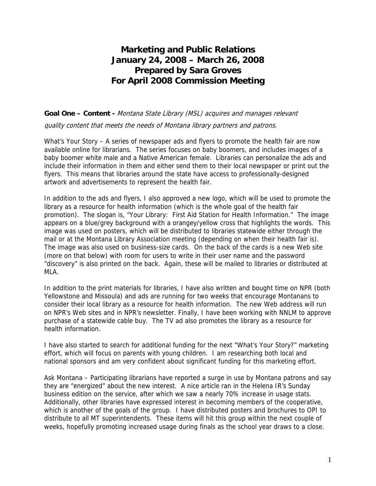## **Marketing and Public Relations January 24, 2008 – March 26, 2008 Prepared by Sara Groves For April 2008 Commission Meeting**

**Goal One – Content -** Montana State Library (MSL) acquires and manages relevant

quality content that meets the needs of Montana library partners and patrons.

What's Your Story – A series of newspaper ads and flyers to promote the health fair are now available online for librarians. The series focuses on baby boomers, and includes images of a baby boomer white male and a Native American female. Libraries can personalize the ads and include their information in them and either send them to their local newspaper or print out the flyers. This means that libraries around the state have access to professionally-designed artwork and advertisements to represent the health fair.

In addition to the ads and flyers, I also approved a new logo, which will be used to promote the library as a resource for health information (which is the whole goal of the health fair promotion). The slogan is, "Your Library: First Aid Station for Health Information." The image appears on a blue/grey background with a orangey/yellow cross that highlights the words. This image was used on posters, which will be distributed to libraries statewide either through the mail or at the Montana Library Association meeting (depending on when their health fair is). The image was also used on business-size cards. On the back of the cards is a new Web site (more on that below) with room for users to write in their user name and the password "discovery" is also printed on the back. Again, these will be mailed to libraries or distributed at MLA.

In addition to the print materials for libraries, I have also written and bought time on NPR (both Yellowstone and Missoula) and ads are running for two weeks that encourage Montanans to consider their local library as a resource for health information. The new Web address will run on NPR's Web sites and in NPR's newsletter. Finally, I have been working with NNLM to approve purchase of a statewide cable buy. The TV ad also promotes the library as a resource for health information.

I have also started to search for additional funding for the next "What's Your Story?" marketing effort, which will focus on parents with young children. I am researching both local and national sponsors and am very confident about significant funding for this marketing effort.

Ask Montana – Participating librarians have reported a surge in use by Montana patrons and say they are "energized" about the new interest. A nice article ran in the Helena IR's Sunday business edition on the service, after which we saw a nearly 70% increase in usage stats. Additionally, other libraries have expressed interest in becoming members of the cooperative, which is another of the goals of the group. I have distributed posters and brochures to OPI to distribute to all MT superintendents. These items will hit this group within the next couple of weeks, hopefully promoting increased usage during finals as the school year draws to a close.